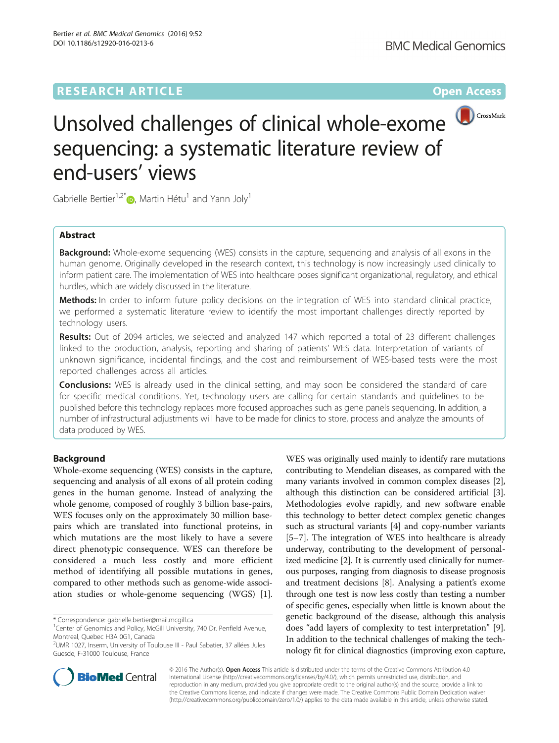# **RESEARCH ARTICLE Example 2014 12:30 The Contract of Contract ACCESS**



# Unsolved challenges of clinical whole-exome sequencing: a systematic literature review of end-users' views

Gabrielle Bertier<sup>1[,](http://orcid.org/0000-0002-3319-3721)2\*</sup> (**b**, Martin Hétu<sup>1</sup> and Yann Joly<sup>1</sup>

# Abstract

**Background:** Whole-exome sequencing (WES) consists in the capture, sequencing and analysis of all exons in the human genome. Originally developed in the research context, this technology is now increasingly used clinically to inform patient care. The implementation of WES into healthcare poses significant organizational, regulatory, and ethical hurdles, which are widely discussed in the literature.

Methods: In order to inform future policy decisions on the integration of WES into standard clinical practice, we performed a systematic literature review to identify the most important challenges directly reported by technology users.

Results: Out of 2094 articles, we selected and analyzed 147 which reported a total of 23 different challenges linked to the production, analysis, reporting and sharing of patients' WES data. Interpretation of variants of unknown significance, incidental findings, and the cost and reimbursement of WES-based tests were the most reported challenges across all articles.

**Conclusions:** WES is already used in the clinical setting, and may soon be considered the standard of care for specific medical conditions. Yet, technology users are calling for certain standards and guidelines to be published before this technology replaces more focused approaches such as gene panels sequencing. In addition, a number of infrastructural adjustments will have to be made for clinics to store, process and analyze the amounts of data produced by WES.

# Background

Whole-exome sequencing (WES) consists in the capture, sequencing and analysis of all exons of all protein coding genes in the human genome. Instead of analyzing the whole genome, composed of roughly 3 billion base-pairs, WES focuses only on the approximately 30 million basepairs which are translated into functional proteins, in which mutations are the most likely to have a severe direct phenotypic consequence. WES can therefore be considered a much less costly and more efficient method of identifying all possible mutations in genes, compared to other methods such as genome-wide association studies or whole-genome sequencing (WGS) [[1](#page-9-0)].

WES was originally used mainly to identify rare mutations contributing to Mendelian diseases, as compared with the many variants involved in common complex diseases [[2](#page-9-0)], although this distinction can be considered artificial [[3](#page-9-0)]. Methodologies evolve rapidly, and new software enable this technology to better detect complex genetic changes such as structural variants [\[4](#page-9-0)] and copy-number variants [[5](#page-9-0)–[7](#page-9-0)]. The integration of WES into healthcare is already underway, contributing to the development of personalized medicine [[2\]](#page-9-0). It is currently used clinically for numerous purposes, ranging from diagnosis to disease prognosis and treatment decisions [\[8\]](#page-9-0). Analysing a patient's exome through one test is now less costly than testing a number of specific genes, especially when little is known about the genetic background of the disease, although this analysis does "add layers of complexity to test interpretation" [[9](#page-9-0)]. In addition to the technical challenges of making the technology fit for clinical diagnostics (improving exon capture,



© 2016 The Author(s). Open Access This article is distributed under the terms of the Creative Commons Attribution 4.0 International License [\(http://creativecommons.org/licenses/by/4.0/](http://creativecommons.org/licenses/by/4.0/)), which permits unrestricted use, distribution, and reproduction in any medium, provided you give appropriate credit to the original author(s) and the source, provide a link to the Creative Commons license, and indicate if changes were made. The Creative Commons Public Domain Dedication waiver [\(http://creativecommons.org/publicdomain/zero/1.0/](http://creativecommons.org/publicdomain/zero/1.0/)) applies to the data made available in this article, unless otherwise stated.

<sup>\*</sup> Correspondence: [gabrielle.bertier@mail.mcgill.ca](mailto:gabrielle.bertier@mail.mcgill.ca) <sup>1</sup>

<sup>&</sup>lt;sup>1</sup> Center of Genomics and Policy, McGill University, 740 Dr. Penfield Avenue, Montreal, Quebec H3A 0G1, Canada

<sup>&</sup>lt;sup>2</sup>UMR 1027, Inserm, University of Toulouse III - Paul Sabatier, 37 allées Jules Guesde, F-31000 Toulouse, France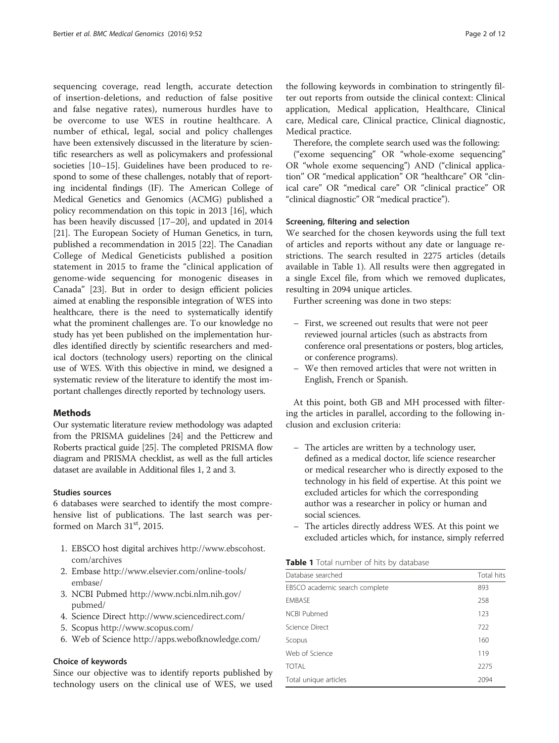sequencing coverage, read length, accurate detection of insertion-deletions, and reduction of false positive and false negative rates), numerous hurdles have to be overcome to use WES in routine healthcare. A number of ethical, legal, social and policy challenges have been extensively discussed in the literature by scientific researchers as well as policymakers and professional societies [\[10](#page-9-0)–[15\]](#page-9-0). Guidelines have been produced to respond to some of these challenges, notably that of reporting incidental findings (IF). The American College of Medical Genetics and Genomics (ACMG) published a policy recommendation on this topic in 2013 [\[16\]](#page-9-0), which has been heavily discussed [[17](#page-9-0)–[20\]](#page-9-0), and updated in 2014 [[21](#page-9-0)]. The European Society of Human Genetics, in turn, published a recommendation in 2015 [\[22\]](#page-9-0). The Canadian College of Medical Geneticists published a position statement in 2015 to frame the "clinical application of genome-wide sequencing for monogenic diseases in Canada" [[23](#page-9-0)]. But in order to design efficient policies aimed at enabling the responsible integration of WES into healthcare, there is the need to systematically identify what the prominent challenges are. To our knowledge no study has yet been published on the implementation hurdles identified directly by scientific researchers and medical doctors (technology users) reporting on the clinical use of WES. With this objective in mind, we designed a systematic review of the literature to identify the most important challenges directly reported by technology users.

#### Methods

Our systematic literature review methodology was adapted from the PRISMA guidelines [[24](#page-9-0)] and the Petticrew and Roberts practical guide [\[25\]](#page-9-0). The completed PRISMA flow diagram and PRISMA checklist, as well as the full articles dataset are available in Additional files [1](#page-9-0), [2](#page-9-0) and [3](#page-9-0).

#### Studies sources

6 databases were searched to identify the most comprehensive list of publications. The last search was performed on March  $31<sup>st</sup>$ , 2015.

- 1. EBSCO host digital archives [http://www.ebscohost.](http://www.ebscohost.com/archives) [com/archives](http://www.ebscohost.com/archives)
- 2. Embase [http://www.elsevier.com/online-tools/](http://www.elsevier.com/online-tools/embase/) [embase/](http://www.elsevier.com/online-tools/embase/)
- 3. NCBI Pubmed [http://www.ncbi.nlm.nih.gov/](http://www.ncbi.nlm.nih.gov/pubmed/) [pubmed/](http://www.ncbi.nlm.nih.gov/pubmed/)
- 4. Science Direct <http://www.sciencedirect.com/>
- 5. Scopus <http://www.scopus.com/>
- 6. Web of Science <http://apps.webofknowledge.com/>

# Choice of keywords

Since our objective was to identify reports published by technology users on the clinical use of WES, we used the following keywords in combination to stringently filter out reports from outside the clinical context: Clinical application, Medical application, Healthcare, Clinical care, Medical care, Clinical practice, Clinical diagnostic, Medical practice.

Therefore, the complete search used was the following:

("exome sequencing" OR "whole-exome sequencing" OR "whole exome sequencing") AND ("clinical application" OR "medical application" OR "healthcare" OR "clinical care" OR "medical care" OR "clinical practice" OR "clinical diagnostic" OR "medical practice").

#### Screening, filtering and selection

We searched for the chosen keywords using the full text of articles and reports without any date or language restrictions. The search resulted in 2275 articles (details available in Table 1). All results were then aggregated in a single Excel file, from which we removed duplicates, resulting in 2094 unique articles.

Further screening was done in two steps:

- First, we screened out results that were not peer reviewed journal articles (such as abstracts from conference oral presentations or posters, blog articles, or conference programs).
- We then removed articles that were not written in English, French or Spanish.

At this point, both GB and MH processed with filtering the articles in parallel, according to the following inclusion and exclusion criteria:

- The articles are written by a technology user, defined as a medical doctor, life science researcher or medical researcher who is directly exposed to the technology in his field of expertise. At this point we excluded articles for which the corresponding author was a researcher in policy or human and social sciences.
- The articles directly address WES. At this point we excluded articles which, for instance, simply referred

| Table 1 Total number of hits by database |  |
|------------------------------------------|--|
|------------------------------------------|--|

| Database searched              | Total hits |
|--------------------------------|------------|
| EBSCO academic search complete | 893        |
| <b>EMBASE</b>                  | 258        |
| <b>NCBI Pubmed</b>             | 123        |
| Science Direct                 | 722        |
| Scopus                         | 160        |
| Web of Science                 | 119        |
| <b>TOTAL</b>                   | 2275       |
| Total unique articles          | 2094       |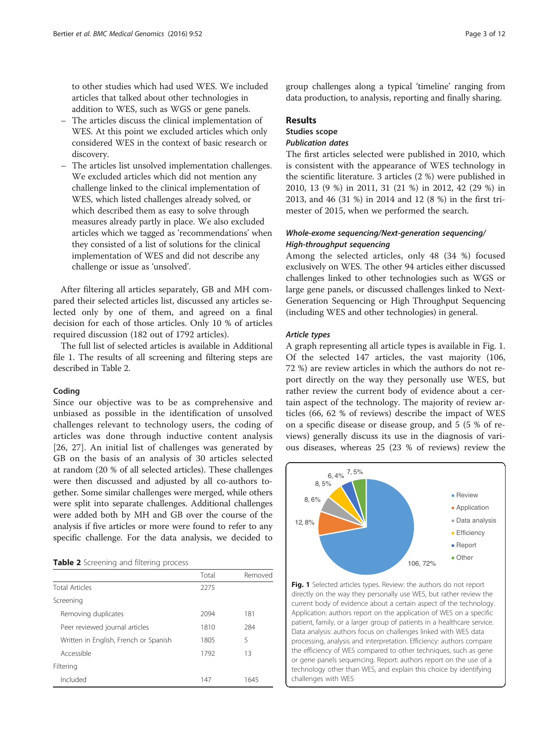to other studies which had used WES. We included articles that talked about other technologies in addition to WES, such as WGS or gene panels.

- The articles discuss the clinical implementation of WES. At this point we excluded articles which only considered WES in the context of basic research or discovery.
- The articles list unsolved implementation challenges. We excluded articles which did not mention any challenge linked to the clinical implementation of WES, which listed challenges already solved, or which described them as easy to solve through measures already partly in place. We also excluded articles which we tagged as 'recommendations' when they consisted of a list of solutions for the clinical implementation of WES and did not describe any challenge or issue as 'unsolved'.

After filtering all articles separately, GB and MH compared their selected articles list, discussed any articles selected only by one of them, and agreed on a final decision for each of those articles. Only 10 % of articles required discussion (182 out of 1792 articles).

The full list of selected articles is available in Additional file [1](#page-9-0). The results of all screening and filtering steps are described in Table 2.

#### Coding

Since our objective was to be as comprehensive and unbiased as possible in the identification of unsolved challenges relevant to technology users, the coding of articles was done through inductive content analysis [[26, 27](#page-10-0)]. An initial list of challenges was generated by GB on the basis of an analysis of 30 articles selected at random (20 % of all selected articles). These challenges were then discussed and adjusted by all co-authors together. Some similar challenges were merged, while others were split into separate challenges. Additional challenges were added both by MH and GB over the course of the analysis if five articles or more were found to refer to any specific challenge. For the data analysis, we decided to

|  |  | Table 2 Screening and filtering process |  |
|--|--|-----------------------------------------|--|
|--|--|-----------------------------------------|--|

|                                       | Total | Removed |
|---------------------------------------|-------|---------|
| <b>Total Articles</b>                 | 2275  |         |
| Screening                             |       |         |
| Removing duplicates                   | 2094  | 181     |
| Peer reviewed journal articles        | 1810  | 284     |
| Written in English, French or Spanish | 1805  | 5       |
| Accessible                            | 1792  | 13      |
| Filtering                             |       |         |
| Included                              | 147   | 1645    |

group challenges along a typical 'timeline' ranging from data production, to analysis, reporting and finally sharing.

# Results

# Studies scope Publication dates

The first articles selected were published in 2010, which is consistent with the appearance of WES technology in the scientific literature. 3 articles (2 %) were published in 2010, 13 (9 %) in 2011, 31 (21 %) in 2012, 42 (29 %) in 2013, and 46 (31 %) in 2014 and 12 (8 %) in the first trimester of 2015, when we performed the search.

# Whole-exome sequencing/Next-generation sequencing/ High-throughput sequencing

Among the selected articles, only 48 (34 %) focused exclusively on WES. The other 94 articles either discussed challenges linked to other technologies such as WGS or large gene panels, or discussed challenges linked to Next-Generation Sequencing or High Throughput Sequencing (including WES and other technologies) in general.

#### Article types

A graph representing all article types is available in Fig. 1. Of the selected 147 articles, the vast majority (106, 72 %) are review articles in which the authors do not report directly on the way they personally use WES, but rather review the current body of evidence about a certain aspect of the technology. The majority of review articles (66, 62 % of reviews) describe the impact of WES on a specific disease or disease group, and 5 (5 % of reviews) generally discuss its use in the diagnosis of various diseases, whereas 25 (23 % of reviews) review the



Fig. 1 Selected articles types. Review: the authors do not report directly on the way they personally use WES, but rather review the current body of evidence about a certain aspect of the technology. Application: authors report on the application of WES on a specific patient, family, or a larger group of patients in a healthcare service. Data analysis: authors focus on challenges linked with WES data processing, analysis and interpretation. Efficiency: authors compare the efficiency of WES compared to other techniques, such as gene or gene panels sequencing. Report: authors report on the use of a technology other than WES, and explain this choice by identifying challenges with WES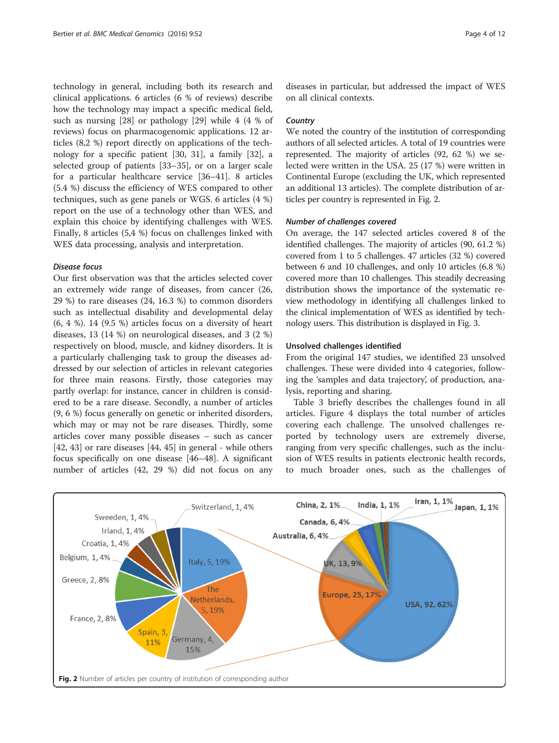technology in general, including both its research and clinical applications. 6 articles (6 % of reviews) describe how the technology may impact a specific medical field, such as nursing [\[28](#page-10-0)] or pathology [\[29](#page-10-0)] while 4 (4 % of reviews) focus on pharmacogenomic applications. 12 articles (8,2 %) report directly on applications of the technology for a specific patient [[30](#page-10-0), [31](#page-10-0)], a family [\[32\]](#page-10-0), a selected group of patients [[33](#page-10-0)–[35](#page-10-0)], or on a larger scale for a particular healthcare service [\[36](#page-10-0)–[41\]](#page-10-0). 8 articles (5.4 %) discuss the efficiency of WES compared to other techniques, such as gene panels or WGS. 6 articles (4 %) report on the use of a technology other than WES, and explain this choice by identifying challenges with WES. Finally, 8 articles (5,4 %) focus on challenges linked with WES data processing, analysis and interpretation.

# Disease focus

Our first observation was that the articles selected cover an extremely wide range of diseases, from cancer (26, 29 %) to rare diseases (24, 16.3 %) to common disorders such as intellectual disability and developmental delay (6, 4 %). 14 (9.5 %) articles focus on a diversity of heart diseases, 13 (14 %) on neurological diseases, and 3 (2 %) respectively on blood, muscle, and kidney disorders. It is a particularly challenging task to group the diseases addressed by our selection of articles in relevant categories for three main reasons. Firstly, those categories may partly overlap: for instance, cancer in children is considered to be a rare disease. Secondly, a number of articles (9, 6 %) focus generally on genetic or inherited disorders, which may or may not be rare diseases. Thirdly, some articles cover many possible diseases – such as cancer [[42, 43\]](#page-10-0) or rare diseases [[44, 45\]](#page-10-0) in general - while others focus specifically on one disease [[46](#page-10-0)–[48](#page-10-0)]. A significant number of articles (42, 29 %) did not focus on any

diseases in particular, but addressed the impact of WES on all clinical contexts.

#### **Country**

We noted the country of the institution of corresponding authors of all selected articles. A total of 19 countries were represented. The majority of articles (92, 62 %) we selected were written in the USA. 25 (17 %) were written in Continental Europe (excluding the UK, which represented an additional 13 articles). The complete distribution of articles per country is represented in Fig. 2.

#### Number of challenges covered

On average, the 147 selected articles covered 8 of the identified challenges. The majority of articles (90, 61.2 %) covered from 1 to 5 challenges. 47 articles (32 %) covered between 6 and 10 challenges, and only 10 articles (6.8 %) covered more than 10 challenges. This steadily decreasing distribution shows the importance of the systematic review methodology in identifying all challenges linked to the clinical implementation of WES as identified by technology users. This distribution is displayed in Fig. [3](#page-4-0).

#### Unsolved challenges identified

From the original 147 studies, we identified 23 unsolved challenges. These were divided into 4 categories, following the 'samples and data trajectory', of production, analysis, reporting and sharing.

Table [3](#page-5-0) briefly describes the challenges found in all articles. Figure [4](#page-6-0) displays the total number of articles covering each challenge. The unsolved challenges reported by technology users are extremely diverse, ranging from very specific challenges, such as the inclusion of WES results in patients electronic health records, to much broader ones, such as the challenges of

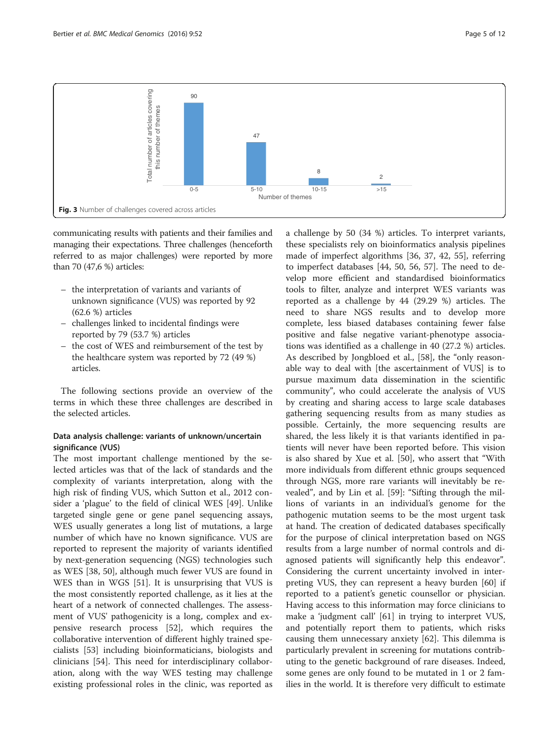<span id="page-4-0"></span>

communicating results with patients and their families and managing their expectations. Three challenges (henceforth referred to as major challenges) were reported by more than 70 (47,6 %) articles:

- the interpretation of variants and variants of unknown significance (VUS) was reported by 92 (62.6 %) articles
- challenges linked to incidental findings were reported by 79 (53.7 %) articles
- the cost of WES and reimbursement of the test by the healthcare system was reported by 72 (49 %) articles.

The following sections provide an overview of the terms in which these three challenges are described in the selected articles.

# Data analysis challenge: variants of unknown/uncertain significance (VUS)

The most important challenge mentioned by the selected articles was that of the lack of standards and the complexity of variants interpretation, along with the high risk of finding VUS, which Sutton et al., 2012 consider a 'plague' to the field of clinical WES [[49](#page-10-0)]. Unlike targeted single gene or gene panel sequencing assays, WES usually generates a long list of mutations, a large number of which have no known significance. VUS are reported to represent the majority of variants identified by next-generation sequencing (NGS) technologies such as WES [[38, 50\]](#page-10-0), although much fewer VUS are found in WES than in WGS [\[51](#page-10-0)]. It is unsurprising that VUS is the most consistently reported challenge, as it lies at the heart of a network of connected challenges. The assessment of VUS' pathogenicity is a long, complex and expensive research process [[52\]](#page-10-0), which requires the collaborative intervention of different highly trained specialists [\[53\]](#page-10-0) including bioinformaticians, biologists and clinicians [\[54](#page-10-0)]. This need for interdisciplinary collaboration, along with the way WES testing may challenge existing professional roles in the clinic, was reported as

a challenge by 50 (34 %) articles. To interpret variants, these specialists rely on bioinformatics analysis pipelines made of imperfect algorithms [\[36](#page-10-0), [37](#page-10-0), [42, 55\]](#page-10-0), referring to imperfect databases [[44, 50](#page-10-0), [56, 57\]](#page-10-0). The need to develop more efficient and standardised bioinformatics tools to filter, analyze and interpret WES variants was reported as a challenge by 44 (29.29 %) articles. The need to share NGS results and to develop more complete, less biased databases containing fewer false positive and false negative variant-phenotype associations was identified as a challenge in 40 (27.2 %) articles. As described by Jongbloed et al., [\[58](#page-10-0)], the "only reasonable way to deal with [the ascertainment of VUS] is to pursue maximum data dissemination in the scientific community", who could accelerate the analysis of VUS by creating and sharing access to large scale databases gathering sequencing results from as many studies as possible. Certainly, the more sequencing results are shared, the less likely it is that variants identified in patients will never have been reported before. This vision is also shared by Xue et al. [[50\]](#page-10-0), who assert that "With more individuals from different ethnic groups sequenced through NGS, more rare variants will inevitably be revealed", and by Lin et al. [\[59](#page-10-0)]: "Sifting through the millions of variants in an individual's genome for the pathogenic mutation seems to be the most urgent task at hand. The creation of dedicated databases specifically for the purpose of clinical interpretation based on NGS results from a large number of normal controls and diagnosed patients will significantly help this endeavor". Considering the current uncertainty involved in interpreting VUS, they can represent a heavy burden [\[60\]](#page-10-0) if reported to a patient's genetic counsellor or physician. Having access to this information may force clinicians to make a 'judgment call' [\[61](#page-10-0)] in trying to interpret VUS, and potentially report them to patients, which risks causing them unnecessary anxiety [[62](#page-10-0)]. This dilemma is particularly prevalent in screening for mutations contributing to the genetic background of rare diseases. Indeed, some genes are only found to be mutated in 1 or 2 families in the world. It is therefore very difficult to estimate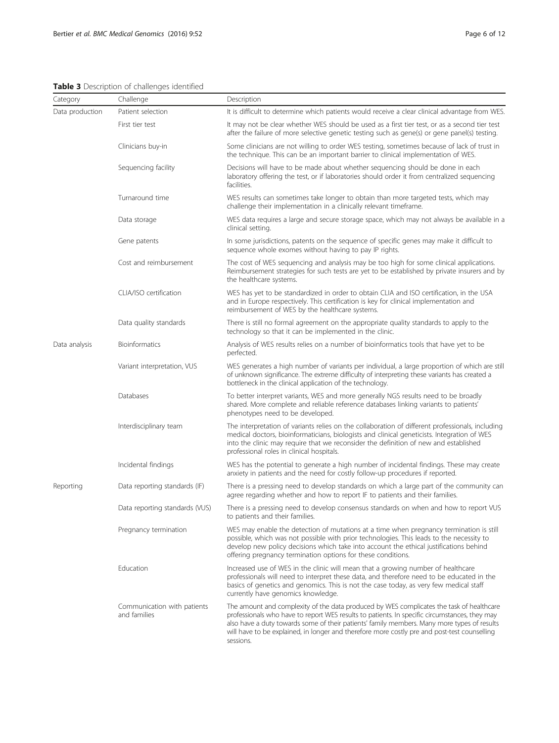<span id="page-5-0"></span>Table 3 Description of challenges identified

| Category        | Challenge                                   | Description                                                                                                                                                                                                                                                                                                                                                                                           |
|-----------------|---------------------------------------------|-------------------------------------------------------------------------------------------------------------------------------------------------------------------------------------------------------------------------------------------------------------------------------------------------------------------------------------------------------------------------------------------------------|
| Data production | Patient selection                           | It is difficult to determine which patients would receive a clear clinical advantage from WES.                                                                                                                                                                                                                                                                                                        |
|                 | First tier test                             | It may not be clear whether WES should be used as a first tier test, or as a second tier test<br>after the failure of more selective genetic testing such as gene(s) or gene panel(s) testing.                                                                                                                                                                                                        |
|                 | Clinicians buy-in                           | Some clinicians are not willing to order WES testing, sometimes because of lack of trust in<br>the technique. This can be an important barrier to clinical implementation of WES.                                                                                                                                                                                                                     |
|                 | Sequencing facility                         | Decisions will have to be made about whether sequencing should be done in each<br>laboratory offering the test, or if laboratories should order it from centralized sequencing<br>facilities.                                                                                                                                                                                                         |
|                 | Turnaround time                             | WES results can sometimes take longer to obtain than more targeted tests, which may<br>challenge their implementation in a clinically relevant timeframe.                                                                                                                                                                                                                                             |
|                 | Data storage                                | WES data requires a large and secure storage space, which may not always be available in a<br>clinical setting.                                                                                                                                                                                                                                                                                       |
|                 | Gene patents                                | In some jurisdictions, patents on the sequence of specific genes may make it difficult to<br>sequence whole exomes without having to pay IP rights.                                                                                                                                                                                                                                                   |
|                 | Cost and reimbursement                      | The cost of WES sequencing and analysis may be too high for some clinical applications.<br>Reimbursement strategies for such tests are yet to be established by private insurers and by<br>the healthcare systems.                                                                                                                                                                                    |
|                 | CLIA/ISO certification                      | WES has yet to be standardized in order to obtain CLIA and ISO certification, in the USA<br>and in Europe respectively. This certification is key for clinical implementation and<br>reimbursement of WES by the healthcare systems.                                                                                                                                                                  |
|                 | Data quality standards                      | There is still no formal agreement on the appropriate quality standards to apply to the<br>technology so that it can be implemented in the clinic.                                                                                                                                                                                                                                                    |
| Data analysis   | <b>Bioinformatics</b>                       | Analysis of WES results relies on a number of bioinformatics tools that have yet to be<br>perfected.                                                                                                                                                                                                                                                                                                  |
|                 | Variant interpretation, VUS                 | WES generates a high number of variants per individual, a large proportion of which are still<br>of unknown significance. The extreme difficulty of interpreting these variants has created a<br>bottleneck in the clinical application of the technology.                                                                                                                                            |
|                 | Databases                                   | To better interpret variants, WES and more generally NGS results need to be broadly<br>shared. More complete and reliable reference databases linking variants to patients'<br>phenotypes need to be developed.                                                                                                                                                                                       |
|                 | Interdisciplinary team                      | The interpretation of variants relies on the collaboration of different professionals, including<br>medical doctors, bioinformaticians, biologists and clinical geneticists. Integration of WES<br>into the clinic may require that we reconsider the definition of new and established<br>professional roles in clinical hospitals.                                                                  |
|                 | Incidental findings                         | WES has the potential to generate a high number of incidental findings. These may create<br>anxiety in patients and the need for costly follow-up procedures if reported.                                                                                                                                                                                                                             |
| Reporting       | Data reporting standards (IF)               | There is a pressing need to develop standards on which a large part of the community can<br>agree regarding whether and how to report IF to patients and their families.                                                                                                                                                                                                                              |
|                 | Data reporting standards (VUS)              | There is a pressing need to develop consensus standards on when and how to report VUS<br>to patients and their families.                                                                                                                                                                                                                                                                              |
|                 | Pregnancy termination                       | WES may enable the detection of mutations at a time when pregnancy termination is still<br>possible, which was not possible with prior technologies. This leads to the necessity to<br>develop new policy decisions which take into account the ethical justifications behind<br>offering pregnancy termination options for these conditions.                                                         |
|                 | Education                                   | Increased use of WES in the clinic will mean that a growing number of healthcare<br>professionals will need to interpret these data, and therefore need to be educated in the<br>basics of genetics and genomics. This is not the case today, as very few medical staff<br>currently have genomics knowledge.                                                                                         |
|                 | Communication with patients<br>and families | The amount and complexity of the data produced by WES complicates the task of healthcare<br>professionals who have to report WES results to patients. In specific circumstances, they may<br>also have a duty towards some of their patients' family members. Many more types of results<br>will have to be explained, in longer and therefore more costly pre and post-test counselling<br>sessions. |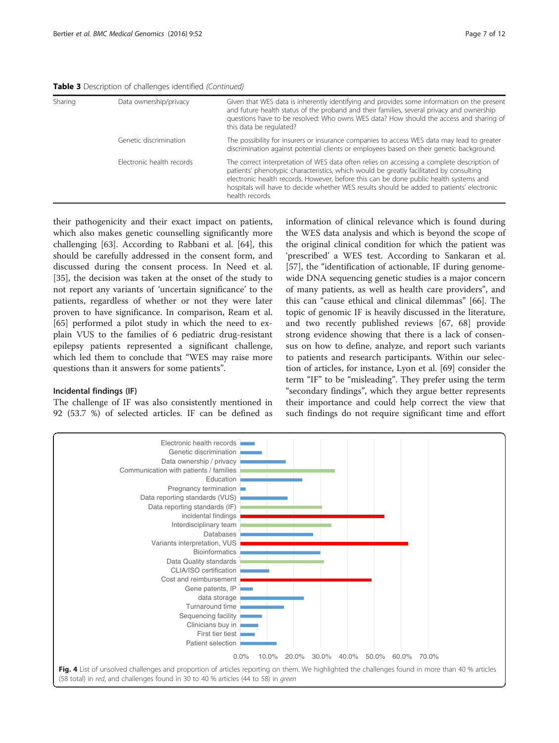<span id="page-6-0"></span>Table 3 Description of challenges identified (Continued)

| Sharing | Data ownership/privacy    | Given that WES data is inherently identifying and provides some information on the present<br>and future health status of the proband and their families, several privacy and ownership<br>questions have to be resolved: Who owns WES data? How should the access and sharing of<br>this data be regulated?                                                                                  |
|---------|---------------------------|-----------------------------------------------------------------------------------------------------------------------------------------------------------------------------------------------------------------------------------------------------------------------------------------------------------------------------------------------------------------------------------------------|
|         | Genetic discrimination    | The possibility for insurers or insurance companies to access WES data may lead to greater<br>discrimination against potential clients or employees based on their genetic background.                                                                                                                                                                                                        |
|         | Electronic health records | The correct interpretation of WES data often relies on accessing a complete description of<br>patients' phenotypic characteristics, which would be greatly facilitated by consulting<br>electronic health records. However, before this can be done public health systems and<br>hospitals will have to decide whether WES results should be added to patients' electronic<br>health records. |

their pathogenicity and their exact impact on patients, which also makes genetic counselling significantly more challenging [[63\]](#page-10-0). According to Rabbani et al. [\[64\]](#page-10-0), this should be carefully addressed in the consent form, and discussed during the consent process. In Need et al. [[35\]](#page-10-0), the decision was taken at the onset of the study to not report any variants of 'uncertain significance' to the patients, regardless of whether or not they were later proven to have significance. In comparison, Ream et al. [[65\]](#page-10-0) performed a pilot study in which the need to explain VUS to the families of 6 pediatric drug-resistant epilepsy patients represented a significant challenge, which led them to conclude that "WES may raise more questions than it answers for some patients".

#### Incidental findings (IF)

The challenge of IF was also consistently mentioned in 92 (53.7 %) of selected articles. IF can be defined as information of clinical relevance which is found during the WES data analysis and which is beyond the scope of the original clinical condition for which the patient was 'prescribed' a WES test. According to Sankaran et al. [[57\]](#page-10-0), the "identification of actionable, IF during genomewide DNA sequencing genetic studies is a major concern of many patients, as well as health care providers", and this can "cause ethical and clinical dilemmas" [\[66](#page-10-0)]. The topic of genomic IF is heavily discussed in the literature, and two recently published reviews [[67, 68\]](#page-10-0) provide strong evidence showing that there is a lack of consensus on how to define, analyze, and report such variants to patients and research participants. Within our selection of articles, for instance, Lyon et al. [\[69\]](#page-10-0) consider the term "IF" to be "misleading". They prefer using the term "secondary findings", which they argue better represents their importance and could help correct the view that such findings do not require significant time and effort

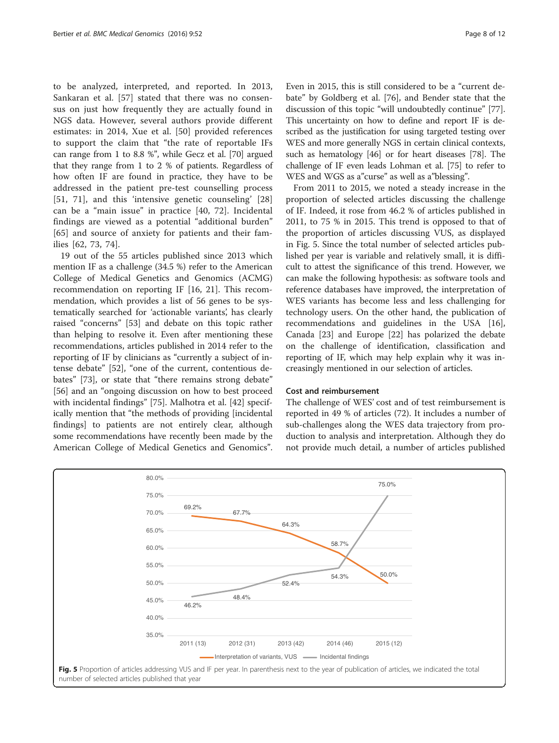to be analyzed, interpreted, and reported. In 2013, Sankaran et al. [[57\]](#page-10-0) stated that there was no consensus on just how frequently they are actually found in NGS data. However, several authors provide different estimates: in 2014, Xue et al. [[50](#page-10-0)] provided references to support the claim that "the rate of reportable IFs can range from 1 to 8.8 %", while Gecz et al. [\[70\]](#page-10-0) argued that they range from 1 to 2 % of patients. Regardless of how often IF are found in practice, they have to be addressed in the patient pre-test counselling process [[51, 71\]](#page-10-0), and this 'intensive genetic counseling' [\[28](#page-10-0)] can be a "main issue" in practice [[40, 72\]](#page-10-0). Incidental findings are viewed as a potential "additional burden" [[65\]](#page-10-0) and source of anxiety for patients and their families [\[62](#page-10-0), [73](#page-10-0), [74](#page-10-0)].

19 out of the 55 articles published since 2013 which mention IF as a challenge (34.5 %) refer to the American College of Medical Genetics and Genomics (ACMG) recommendation on reporting IF [\[16](#page-9-0), [21](#page-9-0)]. This recommendation, which provides a list of 56 genes to be systematically searched for 'actionable variants', has clearly raised "concerns" [\[53\]](#page-10-0) and debate on this topic rather than helping to resolve it. Even after mentioning these recommendations, articles published in 2014 refer to the reporting of IF by clinicians as "currently a subject of intense debate" [\[52\]](#page-10-0), "one of the current, contentious debates" [[73](#page-10-0)], or state that "there remains strong debate" [[56\]](#page-10-0) and an "ongoing discussion on how to best proceed with incidental findings" [[75\]](#page-10-0). Malhotra et al. [[42](#page-10-0)] specifically mention that "the methods of providing [incidental findings] to patients are not entirely clear, although some recommendations have recently been made by the American College of Medical Genetics and Genomics". Even in 2015, this is still considered to be a "current debate" by Goldberg et al. [\[76\]](#page-10-0), and Bender state that the discussion of this topic "will undoubtedly continue" [\[77](#page-11-0)]. This uncertainty on how to define and report IF is described as the justification for using targeted testing over WES and more generally NGS in certain clinical contexts, such as hematology [[46](#page-10-0)] or for heart diseases [\[78](#page-11-0)]. The challenge of IF even leads Lohman et al. [[75](#page-10-0)] to refer to WES and WGS as a"curse" as well as a"blessing".

From 2011 to 2015, we noted a steady increase in the proportion of selected articles discussing the challenge of IF. Indeed, it rose from 46.2 % of articles published in 2011, to 75 % in 2015. This trend is opposed to that of the proportion of articles discussing VUS, as displayed in Fig. 5. Since the total number of selected articles published per year is variable and relatively small, it is difficult to attest the significance of this trend. However, we can make the following hypothesis: as software tools and reference databases have improved, the interpretation of WES variants has become less and less challenging for technology users. On the other hand, the publication of recommendations and guidelines in the USA [\[16](#page-9-0)], Canada [[23\]](#page-9-0) and Europe [[22\]](#page-9-0) has polarized the debate on the challenge of identification, classification and reporting of IF, which may help explain why it was increasingly mentioned in our selection of articles.

#### Cost and reimbursement

The challenge of WES' cost and of test reimbursement is reported in 49 % of articles (72). It includes a number of sub-challenges along the WES data trajectory from production to analysis and interpretation. Although they do not provide much detail, a number of articles published

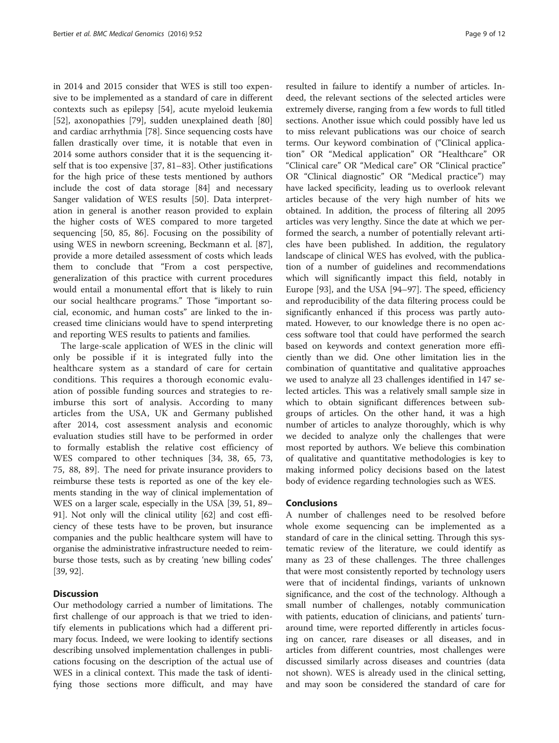in 2014 and 2015 consider that WES is still too expensive to be implemented as a standard of care in different contexts such as epilepsy [\[54](#page-10-0)], acute myeloid leukemia [[52\]](#page-10-0), axonopathies [[79](#page-11-0)], sudden unexplained death [[80](#page-11-0)] and cardiac arrhythmia [[78](#page-11-0)]. Since sequencing costs have fallen drastically over time, it is notable that even in 2014 some authors consider that it is the sequencing itself that is too expensive [\[37,](#page-10-0) [81](#page-11-0)–[83\]](#page-11-0). Other justifications for the high price of these tests mentioned by authors include the cost of data storage [\[84](#page-11-0)] and necessary Sanger validation of WES results [\[50](#page-10-0)]. Data interpretation in general is another reason provided to explain the higher costs of WES compared to more targeted sequencing [\[50,](#page-10-0) [85, 86](#page-11-0)]. Focusing on the possibility of using WES in newborn screening, Beckmann et al. [\[87](#page-11-0)], provide a more detailed assessment of costs which leads them to conclude that "From a cost perspective, generalization of this practice with current procedures would entail a monumental effort that is likely to ruin our social healthcare programs." Those "important social, economic, and human costs" are linked to the increased time clinicians would have to spend interpreting and reporting WES results to patients and families.

The large-scale application of WES in the clinic will only be possible if it is integrated fully into the healthcare system as a standard of care for certain conditions. This requires a thorough economic evaluation of possible funding sources and strategies to reimburse this sort of analysis. According to many articles from the USA, UK and Germany published after 2014, cost assessment analysis and economic evaluation studies still have to be performed in order to formally establish the relative cost efficiency of WES compared to other techniques [\[34](#page-10-0), [38, 65, 73](#page-10-0), [75,](#page-10-0) [88, 89\]](#page-11-0). The need for private insurance providers to reimburse these tests is reported as one of the key elements standing in the way of clinical implementation of WES on a larger scale, especially in the USA [\[39, 51,](#page-10-0) [89](#page-11-0)– [91](#page-11-0)]. Not only will the clinical utility [\[62\]](#page-10-0) and cost efficiency of these tests have to be proven, but insurance companies and the public healthcare system will have to organise the administrative infrastructure needed to reimburse those tests, such as by creating 'new billing codes' [[39](#page-10-0), [92\]](#page-11-0).

# **Discussion**

Our methodology carried a number of limitations. The first challenge of our approach is that we tried to identify elements in publications which had a different primary focus. Indeed, we were looking to identify sections describing unsolved implementation challenges in publications focusing on the description of the actual use of WES in a clinical context. This made the task of identifying those sections more difficult, and may have

resulted in failure to identify a number of articles. Indeed, the relevant sections of the selected articles were extremely diverse, ranging from a few words to full titled sections. Another issue which could possibly have led us to miss relevant publications was our choice of search terms. Our keyword combination of ("Clinical application" OR "Medical application" OR "Healthcare" OR "Clinical care" OR "Medical care" OR "Clinical practice" OR "Clinical diagnostic" OR "Medical practice") may have lacked specificity, leading us to overlook relevant articles because of the very high number of hits we obtained. In addition, the process of filtering all 2095 articles was very lengthy. Since the date at which we performed the search, a number of potentially relevant articles have been published. In addition, the regulatory landscape of clinical WES has evolved, with the publication of a number of guidelines and recommendations which will significantly impact this field, notably in Europe [\[93](#page-11-0)], and the USA [[94](#page-11-0)–[97](#page-11-0)]. The speed, efficiency and reproducibility of the data filtering process could be significantly enhanced if this process was partly automated. However, to our knowledge there is no open access software tool that could have performed the search based on keywords and context generation more efficiently than we did. One other limitation lies in the combination of quantitative and qualitative approaches we used to analyze all 23 challenges identified in 147 selected articles. This was a relatively small sample size in which to obtain significant differences between subgroups of articles. On the other hand, it was a high number of articles to analyze thoroughly, which is why we decided to analyze only the challenges that were most reported by authors. We believe this combination of qualitative and quantitative methodologies is key to making informed policy decisions based on the latest body of evidence regarding technologies such as WES.

#### Conclusions

A number of challenges need to be resolved before whole exome sequencing can be implemented as a standard of care in the clinical setting. Through this systematic review of the literature, we could identify as many as 23 of these challenges. The three challenges that were most consistently reported by technology users were that of incidental findings, variants of unknown significance, and the cost of the technology. Although a small number of challenges, notably communication with patients, education of clinicians, and patients' turnaround time, were reported differently in articles focusing on cancer, rare diseases or all diseases, and in articles from different countries, most challenges were discussed similarly across diseases and countries (data not shown). WES is already used in the clinical setting, and may soon be considered the standard of care for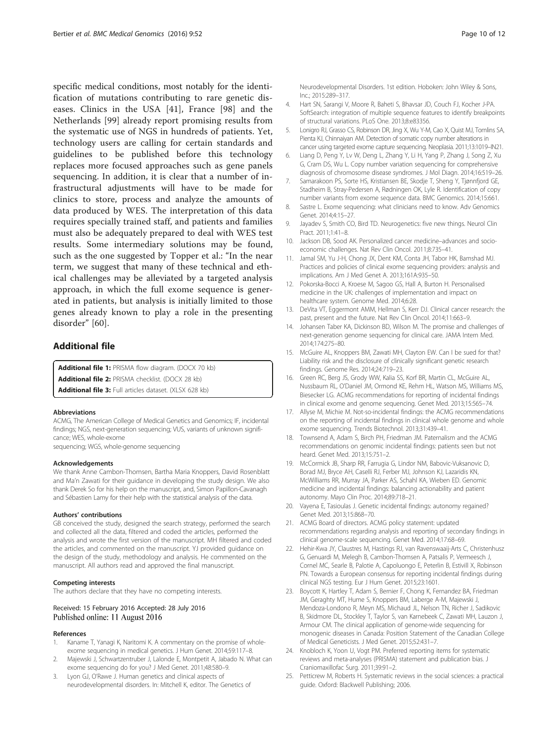<span id="page-9-0"></span>specific medical conditions, most notably for the identification of mutations contributing to rare genetic diseases. Clinics in the USA [\[41](#page-10-0)], France [[98\]](#page-11-0) and the Netherlands [\[99](#page-11-0)] already report promising results from the systematic use of NGS in hundreds of patients. Yet, technology users are calling for certain standards and guidelines to be published before this technology replaces more focused approaches such as gene panels sequencing. In addition, it is clear that a number of infrastructural adjustments will have to be made for clinics to store, process and analyze the amounts of data produced by WES. The interpretation of this data requires specially trained staff, and patients and families must also be adequately prepared to deal with WES test results. Some intermediary solutions may be found, such as the one suggested by Topper et al.: "In the near term, we suggest that many of these technical and ethical challenges may be alleviated by a targeted analysis approach, in which the full exome sequence is generated in patients, but analysis is initially limited to those genes already known to play a role in the presenting disorder" [[60\]](#page-10-0).

# Additional file

[Additional file 1:](dx.doi.org/10.1186/s12920-016-0213-6) PRISMA flow diagram. (DOCX 70 kb)

[Additional file 2:](dx.doi.org/10.1186/s12920-016-0213-6) PRISMA checklist. (DOCX 28 kb)

[Additional file 3:](dx.doi.org/10.1186/s12920-016-0213-6) Full articles dataset. (XLSX 628 kb)

#### Abbreviations

ACMG, The American College of Medical Genetics and Genomics; IF, incidental findings; NGS, next-generation sequencing; VUS, variants of unknown significance; WES, whole-exome

sequencing; WGS, whole-genome sequencing

#### Acknowledgements

We thank Anne Cambon-Thomsen, Bartha Maria Knoppers, David Rosenblatt and Ma'n Zawati for their guidance in developing the study design. We also thank Derek So for his help on the manuscript, and, Simon Papillon-Cavanagh and Sébastien Lamy for their help with the statistical analysis of the data.

#### Authors' contributions

GB conceived the study, designed the search strategy, performed the search and collected all the data, filtered and coded the articles, performed the analysis and wrote the first version of the manuscript. MH filtered and coded the articles, and commented on the manuscript. YJ provided guidance on the design of the study, methodology and analysis. He commented on the manuscript. All authors read and approved the final manuscript.

#### Competing interests

The authors declare that they have no competing interests.

#### Received: 15 February 2016 Accepted: 28 July 2016 Published online: 11 August 2016

#### References

- Kaname T, Yanagi K, Naritomi K. A commentary on the promise of wholeexome sequencing in medical genetics. J Hum Genet. 2014;59:117–8.
- 2. Majewski J, Schwartzentruber J, Lalonde E, Montpetit A, Jabado N. What can exome sequencing do for you? J Med Genet. 2011;48:580–9.
- 3. Lyon GJ, O'Rawe J. Human genetics and clinical aspects of neurodevelopmental disorders. In: Mitchell K, editor. The Genetics of

Neurodevelopmental Disorders. 1st edition. Hoboken: John Wiley & Sons, Inc.; 2015:289–317.

- 4. Hart SN, Sarangi V, Moore R, Baheti S, Bhavsar JD, Couch FJ, Kocher J-PA. SoftSearch: integration of multiple sequence features to identify breakpoints of structural variations. PLoS One. 2013;8:e83356.
- 5. Lonigro RJ, Grasso CS, Robinson DR, Jing X, Wu Y-M, Cao X, Quist MJ, Tomlins SA, Pienta KJ, Chinnaiyan AM. Detection of somatic copy number alterations in cancer using targeted exome capture sequencing. Neoplasia. 2011;13:1019–IN21.
- 6. Liang D, Peng Y, Lv W, Deng L, Zhang Y, Li H, Yang P, Zhang J, Song Z, Xu G, Cram DS, Wu L. Copy number variation sequencing for comprehensive diagnosis of chromosome disease syndromes. J Mol Diagn. 2014;16:519–26.
- 7. Samarakoon PS, Sorte HS, Kristiansen BE, Skodje T, Sheng Y, Tjønnfjord GE, Stadheim B, Stray-Pedersen A, Rødningen OK, Lyle R. Identification of copy number variants from exome sequence data. BMC Genomics. 2014;15:661.
- 8. Sastre L. Exome sequencing: what clinicians need to know. Adv Genomics Genet. 2014;4:15–27.
- 9. Jayadev S, Smith CO, Bird TD. Neurogenetics: five new things. Neurol Clin Pract. 2011;1:41–8.
- 10. Jackson DB, Sood AK. Personalized cancer medicine–advances and socioeconomic challenges. Nat Rev Clin Oncol. 2011;8:735–41.
- 11. Jamal SM, Yu J-H, Chong JX, Dent KM, Conta JH, Tabor HK, Bamshad MJ. Practices and policies of clinical exome sequencing providers: analysis and implications. Am J Med Genet A. 2013;161A:935–50.
- 12. Pokorska-Bocci A, Kroese M, Sagoo GS, Hall A, Burton H. Personalised medicine in the UK: challenges of implementation and impact on healthcare system. Genome Med. 2014;6:28.
- 13. DeVita VT, Eggermont AMM, Hellman S, Kerr DJ. Clinical cancer research: the past, present and the future. Nat Rev Clin Oncol. 2014;11:663–9.
- 14. Johansen Taber KA, Dickinson BD, Wilson M. The promise and challenges of next-generation genome sequencing for clinical care. JAMA Intern Med. 2014;174:275–80.
- 15. McGuire AL, Knoppers BM, Zawati MH, Clayton EW. Can I be sued for that? Liability risk and the disclosure of clinically significant genetic research findings. Genome Res. 2014;24:719–23.
- 16. Green RC, Berg JS, Grody WW, Kalia SS, Korf BR, Martin CL, McGuire AL, Nussbaum RL, O'Daniel JM, Ormond KE, Rehm HL, Watson MS, Williams MS, Biesecker LG. ACMG recommendations for reporting of incidental findings in clinical exome and genome sequencing. Genet Med. 2013;15:565–74.
- 17. Allyse M, Michie M. Not-so-incidental findings: the ACMG recommendations on the reporting of incidental findings in clinical whole genome and whole exome sequencing. Trends Biotechnol. 2013;31:439–41.
- 18. Townsend A, Adam S, Birch PH, Friedman JM. Paternalism and the ACMG recommendations on genomic incidental findings: patients seen but not heard. Genet Med. 2013;15:751–2.
- 19. McCormick JB, Sharp RR, Farrugia G, Lindor NM, Babovic-Vuksanovic D, Borad MJ, Bryce AH, Caselli RJ, Ferber MJ, Johnson KJ, Lazaridis KN, McWilliams RR, Murray JA, Parker AS, Schahl KA, Wieben ED. Genomic medicine and incidental findings: balancing actionability and patient autonomy. Mayo Clin Proc. 2014;89:718–21.
- 20. Vayena E, Tasioulas J. Genetic incidental findings: autonomy regained? Genet Med. 2013;15:868–70.
- 21. ACMG Board of directors. ACMG policy statement: updated recommendations regarding analysis and reporting of secondary findings in clinical genome-scale sequencing. Genet Med. 2014;17:68–69.
- 22. Hehir-Kwa JY, Claustres M, Hastings RJ, van Ravenswaaij-Arts C, Christenhusz G, Genuardi M, Melegh B, Cambon-Thomsen A, Patsalis P, Vermeesch J, Cornel MC, Searle B, Palotie A, Capoluongo E, Peterlin B, Estivill X, Robinson PN. Towards a European consensus for reporting incidental findings during clinical NGS testing. Eur J Hum Genet. 2015;23:1601.
- 23. Boycott K, Hartley T, Adam S, Bernier F, Chong K, Fernandez BA, Friedman JM, Geraghty MT, Hume S, Knoppers BM, Laberge A-M, Majewski J, Mendoza-Londono R, Meyn MS, Michaud JL, Nelson TN, Richer J, Sadikovic B, Skidmore DL, Stockley T, Taylor S, van Karnebeek C, Zawati MH, Lauzon J, Armour CM. The clinical application of genome-wide sequencing for monogenic diseases in Canada: Position Statement of the Canadian College of Medical Geneticists. J Med Genet. 2015;52:431–7.
- 24. Knobloch K, Yoon U, Vogt PM. Preferred reporting items for systematic reviews and meta-analyses (PRISMA) statement and publication bias. J Craniomaxillofac Surg. 2011;39:91–2.
- 25. Petticrew M, Roberts H. Systematic reviews in the social sciences: a practical guide. Oxford: Blackwell Publishing; 2006.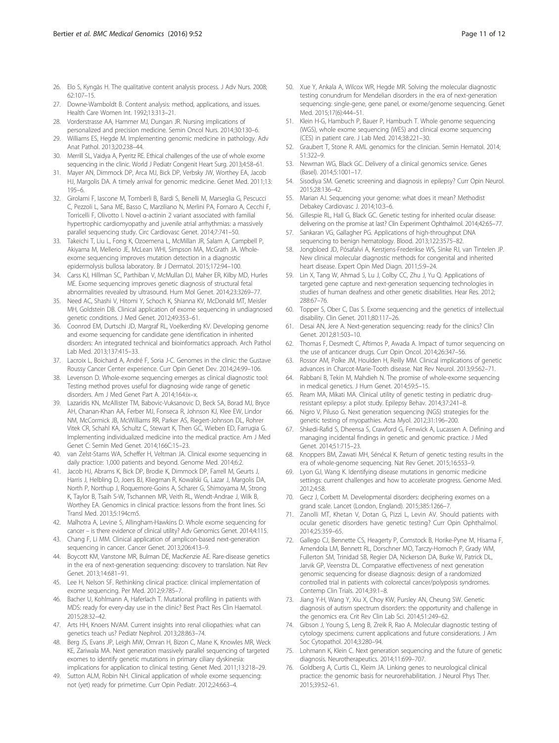- <span id="page-10-0"></span>26. Elo S, Kyngäs H. The qualitative content analysis process. J Adv Nurs. 2008; 62:107–15.
- 27. Downe-Wamboldt B. Content analysis: method, applications, and issues. Health Care Women Int. 1992;13:313–21.
- 28. Vorderstrasse AA, Hammer MJ, Dungan JR. Nursing implications of personalized and precision medicine. Semin Oncol Nurs. 2014;30:130–6.
- 29. Williams ES, Hegde M. Implementing genomic medicine in pathology. Adv Anat Pathol. 2013;20:238–44.
- 30. Merrill SL, Vaidya A, Pyeritz RE. Ethical challenges of the use of whole exome sequencing in the clinic. World J Pediatr Congenit Heart Surg. 2013;4:58–61.
- 31. Mayer AN, Dimmock DP, Arca MJ, Bick DP, Verbsky JW, Worthey EA, Jacob HJ, Margolis DA. A timely arrival for genomic medicine. Genet Med. 2011;13: 195–6.
- 32. Girolami F, Iascone M, Tomberli B, Bardi S, Benelli M, Marseglia G, Pescucci C, Pezzoli L, Sana ME, Basso C, Marziliano N, Merlini PA, Fornaro A, Cecchi F, Torricelli F, Olivotto I. Novel α-actinin 2 variant associated with familial hypertrophic cardiomyopathy and juvenile atrial arrhythmias: a massively parallel sequencing study. Circ Cardiovasc Genet. 2014;7:741–50.
- 33. Takeichi T, Liu L, Fong K, Ozoemena L, McMillan JR, Salam A, Campbell P, Akiyama M, Mellerio JE, McLean WHI, Simpson MA, McGrath JA. Wholeexome sequencing improves mutation detection in a diagnostic epidermolysis bullosa laboratory. Br J Dermatol. 2015;172:94–100.
- 34. Carss KJ, Hillman SC, Parthiban V, McMullan DJ, Maher ER, Kilby MD, Hurles ME. Exome sequencing improves genetic diagnosis of structural fetal abnormalities revealed by ultrasound. Hum Mol Genet. 2014;23:3269–77.
- 35. Need AC, Shashi V, Hitomi Y, Schoch K, Shianna KV, McDonald MT, Meisler MH, Goldstein DB. Clinical application of exome sequencing in undiagnosed genetic conditions. J Med Genet. 2012;49:353–61.
- 36. Coonrod EM, Durtschi JD, Margraf RL, Voelkerding KV. Developing genome and exome sequencing for candidate gene identification in inherited disorders: An integrated technical and bioinformatics approach. Arch Pathol Lab Med. 2013;137:415–33.
- 37. Lacroix L, Boichard A, André F, Soria J-C. Genomes in the clinic: the Gustave Roussy Cancer Center experience. Curr Opin Genet Dev. 2014;24:99–106.
- 38. Levenson D. Whole-exome sequencing emerges as clinical diagnostic tool: Testing method proves useful for diagnosing wide range of genetic disorders. Am J Med Genet Part A. 2014;164:ix–x.
- 39. Lazaridis KN, McAllister TM, Babovic-Vuksanovic D, Beck SA, Borad MJ, Bryce AH, Chanan-Khan AA, Ferber MJ, Fonseca R, Johnson KJ, Klee EW, Lindor NM, McCormick JB, McWilliams RR, Parker AS, Riegert-Johnson DL, Rohrer Vitek CR, Schahl KA, Schultz C, Stewart K, Then GC, Wieben ED, Farrugia G. Implementing individualized medicine into the medical practice. Am J Med Genet C: Semin Med Genet. 2014;166C:15–23.
- 40. van Zelst-Stams WA, Scheffer H, Veltman JA. Clinical exome sequencing in daily practice: 1,000 patients and beyond. Genome Med. 2014;6:2.
- 41. Jacob HJ, Abrams K, Bick DP, Brodie K, Dimmock DP, Farrell M, Geurts J, Harris J, Helbling D, Joers BJ, Kliegman R, Kowalski G, Lazar J, Margolis DA, North P, Northup J, Roquemore-Goins A, Scharer G, Shimoyama M, Strong K, Taylor B, Tsaih S-W, Tschannen MR, Veith RL, Wendt-Andrae J, Wilk B, Worthey EA. Genomics in clinical practice: lessons from the front lines. Sci Transl Med. 2013;5:194cm5.
- 42. Malhotra A, Levine S, Allingham-Hawkins D. Whole exome sequencing for cancer – is there evidence of clinical utility? Adv Genomics Genet. 2014;4:115.
- 43. Chang F, Li MM. Clinical application of amplicon-based next-generation sequencing in cancer. Cancer Genet. 2013;206:413–9.
- 44. Boycott KM, Vanstone MR, Bulman DE, MacKenzie AE. Rare-disease genetics in the era of next-generation sequencing: discovery to translation. Nat Rev Genet. 2013;14:681–91.
- 45. Lee H, Nelson SF. Rethinking clinical practice: clinical implementation of exome sequencing. Per Med. 2012;9:785–7.
- 46. Bacher U, Kohlmann A, Haferlach T. Mutational profiling in patients with MDS: ready for every-day use in the clinic? Best Pract Res Clin Haematol. 2015;28:32–42.
- 47. Arts HH, Knoers NVAM. Current insights into renal ciliopathies: what can genetics teach us? Pediatr Nephrol. 2013;28:863–74.
- 48. Berg JS, Evans JP, Leigh MW, Omran H, Bizon C, Mane K, Knowles MR, Weck KE, Zariwala MA. Next generation massively parallel sequencing of targeted exomes to identify genetic mutations in primary ciliary dyskinesia: implications for application to clinical testing. Genet Med. 2011;13:218–29.
- 49. Sutton ALM, Robin NH. Clinical application of whole exome sequencing: not (yet) ready for primetime. Curr Opin Pediatr. 2012;24:663–4.
- 50. Xue Y, Ankala A, Wilcox WR, Hegde MR. Solving the molecular diagnostic testing conundrum for Mendelian disorders in the era of next-generation sequencing: single-gene, gene panel, or exome/genome sequencing. Genet Med. 2015;17(6):444–51.
- 51. Klein H-G, Hambuch P, Bauer P, Hambuch T. Whole genome sequencing (WGS), whole exome sequencing (WES) and clinical exome sequencing (CES) in patient care. J Lab Med. 2014;38:221–30.
- 52. Graubert T, Stone R. AML genomics for the clinician. Semin Hematol. 2014; 51:322–9.
- 53. Newman WG, Black GC. Delivery of a clinical genomics service. Genes (Basel). 2014;5:1001–17.
- 54. Sisodiya SM. Genetic screening and diagnosis in epilepsy? Curr Opin Neurol. 2015;28:136–42.
- 55. Marian AJ. Sequencing your genome: what does it mean? Methodist Debakey Cardiovasc J. 2014;10:3–6.
- 56. Gillespie RL, Hall G, Black GC. Genetic testing for inherited ocular disease: delivering on the promise at last? Clin Experiment Ophthalmol. 2014;42:65–77.
- 57. Sankaran VG, Gallagher PG. Applications of high-throughput DNA sequencing to benign hematology. Blood. 2013;122:3575–82.
- 58. Jongbloed JD, Pósafalvi A, Kerstjens-Frederikse WS, Sinke RJ, van Tintelen JP. New clinical molecular diagnostic methods for congenital and inherited heart disease. Expert Opin Med Diagn. 2011;5:9–24.
- 59. Lin X, Tang W, Ahmad S, Lu J, Colby CC, Zhu J, Yu Q. Applications of targeted gene capture and next-generation sequencing technologies in studies of human deafness and other genetic disabilities. Hear Res. 2012; 288:67–76.
- 60. Topper S, Ober C, Das S. Exome sequencing and the genetics of intellectual disability. Clin Genet. 2011;80:117–26.
- 61. Desai AN, Jere A. Next-generation sequencing: ready for the clinics? Clin Genet. 2012;81:503–10.
- 62. Thomas F, Desmedt C, Aftimos P, Awada A. Impact of tumor sequencing on the use of anticancer drugs. Curr Opin Oncol. 2014;26:347–56.
- 63. Rossor AM, Polke JM, Houlden H, Reilly MM. Clinical implications of genetic advances in Charcot-Marie-Tooth disease. Nat Rev Neurol. 2013;9:562–71.
- 64. Rabbani B, Tekin M, Mahdieh N. The promise of whole-exome sequencing in medical genetics. J Hum Genet. 2014;59:5–15.
- 65. Ream MA, Mikati MA. Clinical utility of genetic testing in pediatric drugresistant epilepsy: a pilot study. Epilepsy Behav. 2014;37:241–8.
- 66. Nigro V, Piluso G. Next generation sequencing (NGS) strategies for the genetic testing of myopathies. Acta Myol. 2012;31:196–200.
- 67. Shkedi-Rafid S, Dheensa S, Crawford G, Fenwick A, Lucassen A. Defining and managing incidental findings in genetic and genomic practice. J Med Genet. 2014;51:715–23.
- 68. Knoppers BM, Zawati MH, Sénécal K. Return of genetic testing results in the era of whole-genome sequencing. Nat Rev Genet. 2015;16:553–9.
- 69. Lyon GJ, Wang K. Identifying disease mutations in genomic medicine settings: current challenges and how to accelerate progress. Genome Med. 2012;4:58.
- 70. Gecz J, Corbett M. Developmental disorders: deciphering exomes on a grand scale. Lancet (London, England). 2015;385:1266–7.
- 71. Zanolli MT, Khetan V, Dotan G, Pizzi L, Levin AV. Should patients with ocular genetic disorders have genetic testing? Curr Opin Ophthalmol. 2014;25:359–65.
- 72. Gallego CJ, Bennette CS, Heagerty P, Comstock B, Horike-Pyne M, Hisama F, Amendola LM, Bennett RL, Dorschner MO, Tarczy-Hornoch P, Grady WM, Fullerton SM, Trinidad SB, Regier DA, Nickerson DA, Burke W, Patrick DL, Jarvik GP, Veenstra DL. Comparative effectiveness of next generation genomic sequencing for disease diagnosis: design of a randomized controlled trial in patients with colorectal cancer/polyposis syndromes. Contemp Clin Trials. 2014;39:1–8.
- 73. Jiang Y-H, Wang Y, Xiu X, Choy KW, Pursley AN, Cheung SW. Genetic diagnosis of autism spectrum disorders: the opportunity and challenge in the genomics era. Crit Rev Clin Lab Sci. 2014;51:249–62.
- 74. Gibson J, Young S, Leng B, Zreik R, Rao A. Molecular diagnostic testing of cytology specimens: current applications and future considerations. J Am Soc Cytopathol. 2014;3:280–94.
- 75. Lohmann K, Klein C. Next generation sequencing and the future of genetic diagnosis. Neurotherapeutics. 2014;11:699–707.
- 76. Goldberg A, Curtis CL, Kleim JA. Linking genes to neurological clinical practice: the genomic basis for neurorehabilitation. J Neurol Phys Ther. 2015;39:52–61.